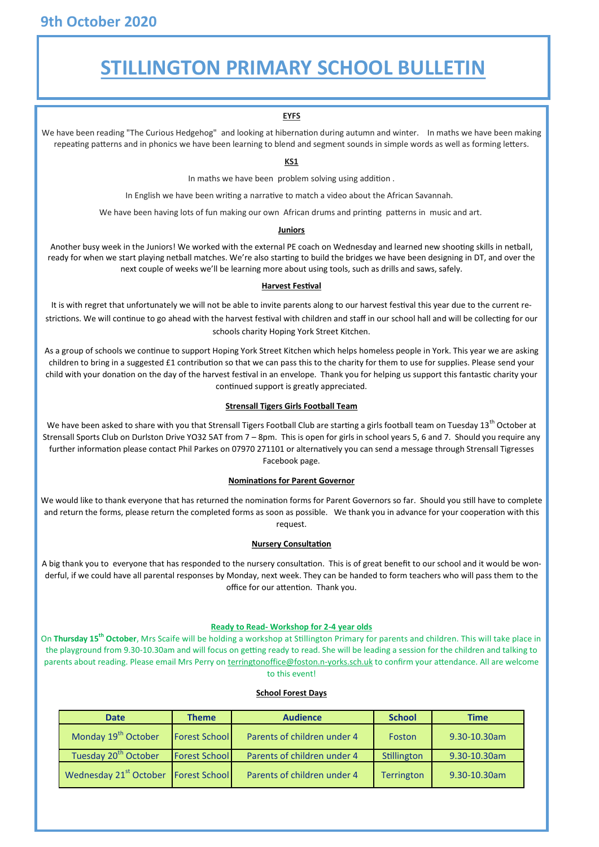## **STILLINGTON PRIMARY SCHOOL BULLETIN**

### **EYFS**

We have been reading "The Curious Hedgehog" and looking at hibernation during autumn and winter. In maths we have been making repeating patterns and in phonics we have been learning to blend and segment sounds in simple words as well as forming letters.

#### **KS1**

In maths we have been problem solving using addition .

In English we have been writing a narrative to match a video about the African Savannah.

We have been having lots of fun making our own African drums and printing patterns in music and art.

#### **Juniors**

Another busy week in the Juniors! We worked with the external PE coach on Wednesday and learned new shooting skills in netball, ready for when we start playing netball matches. We're also starting to build the bridges we have been designing in DT, and over the next couple of weeks we'll be learning more about using tools, such as drills and saws, safely.

#### **Harvest Festival**

It is with regret that unfortunately we will not be able to invite parents along to our harvest festival this year due to the current restrictions. We will continue to go ahead with the harvest festival with children and staff in our school hall and will be collecting for our schools charity Hoping York Street Kitchen.

As a group of schools we continue to support Hoping York Street Kitchen which helps homeless people in York. This year we are asking children to bring in a suggested £1 contribution so that we can pass this to the charity for them to use for supplies. Please send your child with your donation on the day of the harvest festival in an envelope. Thank you for helping us support this fantastic charity your continued support is greatly appreciated.

#### **Strensall Tigers Girls Football Team**

We have been asked to share with you that Strensall Tigers Football Club are starting a girls football team on Tuesday 13<sup>th</sup> October at Strensall Sports Club on Durlston Drive YO32 5AT from 7 – 8pm. This is open for girls in school years 5, 6 and 7. Should you require any further information please contact Phil Parkes on 07970 271101 or alternatively you can send a message through Strensall Tigresses Facebook page.

#### **Nominations for Parent Governor**

We would like to thank everyone that has returned the nomination forms for Parent Governors so far. Should you still have to complete and return the forms, please return the completed forms as soon as possible. We thank you in advance for your cooperation with this request.

#### **Nursery Consultation**

A big thank you to everyone that has responded to the nursery consultation. This is of great benefit to our school and it would be wonderful, if we could have all parental responses by Monday, next week. They can be handed to form teachers who will pass them to the office for our attention. Thank you.

#### **Ready to Read- Workshop for 2-4 year olds**

On **Thursday 15th October**, Mrs Scaife will be holding a workshop at Stillington Primary for parents and children. This will take place in the playground from 9.30-10.30am and will focus on getting ready to read. She will be leading a session for the children and talking to parents about reading. Please email Mrs Perry on [terringtonoffice@foston.n](mailto:terringtonoffice@foston.n-yorks.sch.uk)-yorks.sch.uk to confirm your attendance. All are welcome to this event!

#### **School Forest Days**

| <b>Date</b>                        | <b>Theme</b>         | <b>Audience</b>             | <b>School</b> | <b>Time</b>  |
|------------------------------------|----------------------|-----------------------------|---------------|--------------|
| Monday 19 <sup>th</sup> October    | <b>Forest School</b> | Parents of children under 4 | Foston        | 9.30-10.30am |
| Tuesday 20 <sup>th</sup> October   | <b>Forest School</b> | Parents of children under 4 | Stillington   | 9.30-10.30am |
| Wednesday 21 <sup>st</sup> October | Forest School        | Parents of children under 4 | Terrington    | 9.30-10.30am |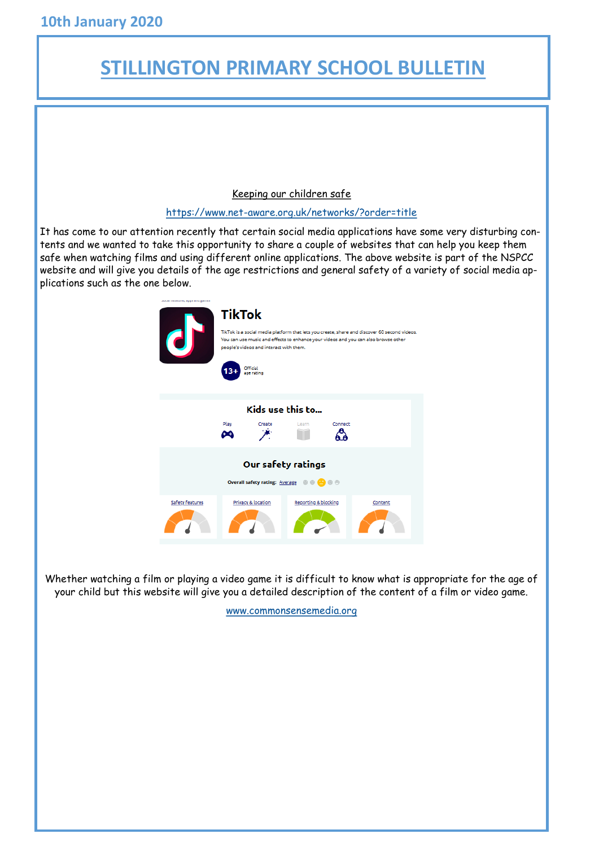# **STILLINGTON PRIMARY SCHOOL BULLETIN**

Keeping our children safe

## https://www.net-[aware.org.uk/networks/?order=title](https://www.net-aware.org.uk/networks/?order=title)

It has come to our attention recently that certain social media applications have some very disturbing contents and we wanted to take this opportunity to share a couple of websites that can help you keep them safe when watching films and using different online applications. The above website is part of the NSPCC website and will give you details of the age restrictions and general safety of a variety of social media applications such as the one below.



Whether watching a film or playing a video game it is difficult to know what is appropriate for the age of your child but this website will give you a detailed description of the content of a film or video game.

[www.commonsensemedia.org](http://www.commonsensemedia.org)